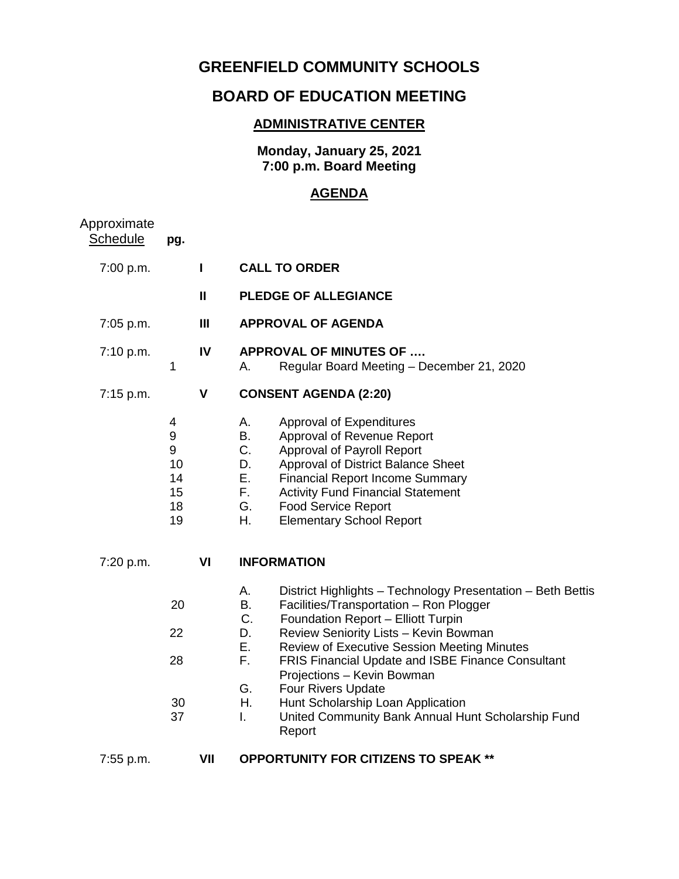## **GREENFIELD COMMUNITY SCHOOLS**

## **BOARD OF EDUCATION MEETING**

## **ADMINISTRATIVE CENTER**

**Monday, January 25, 2021 7:00 p.m. Board Meeting**

## **AGENDA**

| Approximate<br><b>Schedule</b> | pg.                                       |                |                                                                                                                                                                                                                                                                                                                                                                                                                                                                                                                        |
|--------------------------------|-------------------------------------------|----------------|------------------------------------------------------------------------------------------------------------------------------------------------------------------------------------------------------------------------------------------------------------------------------------------------------------------------------------------------------------------------------------------------------------------------------------------------------------------------------------------------------------------------|
| 7:00 p.m.                      |                                           | $\mathbf{I}$   | <b>CALL TO ORDER</b>                                                                                                                                                                                                                                                                                                                                                                                                                                                                                                   |
|                                |                                           | $\mathbf{I}$   | <b>PLEDGE OF ALLEGIANCE</b>                                                                                                                                                                                                                                                                                                                                                                                                                                                                                            |
| 7:05 p.m.                      |                                           | $\mathbf{III}$ | <b>APPROVAL OF AGENDA</b>                                                                                                                                                                                                                                                                                                                                                                                                                                                                                              |
| 7:10 p.m.                      | 1                                         | IV             | <b>APPROVAL OF MINUTES OF </b><br>Regular Board Meeting - December 21, 2020<br>Α.                                                                                                                                                                                                                                                                                                                                                                                                                                      |
| 7:15 p.m.                      |                                           | $\mathsf{V}$   | <b>CONSENT AGENDA (2:20)</b>                                                                                                                                                                                                                                                                                                                                                                                                                                                                                           |
|                                | 4<br>9<br>9<br>10<br>14<br>15<br>18<br>19 |                | Approval of Expenditures<br>А.<br>В.<br>Approval of Revenue Report<br>C.<br>Approval of Payroll Report<br>Approval of District Balance Sheet<br>D.<br>Е.<br><b>Financial Report Income Summary</b><br>F.,<br><b>Activity Fund Financial Statement</b><br>G.<br><b>Food Service Report</b><br>Η.<br><b>Elementary School Report</b>                                                                                                                                                                                     |
| 7:20 p.m.                      |                                           | VI             | <b>INFORMATION</b>                                                                                                                                                                                                                                                                                                                                                                                                                                                                                                     |
|                                | 20<br>22<br>28<br>30<br>37                |                | Α.<br>District Highlights - Technology Presentation - Beth Bettis<br>Facilities/Transportation - Ron Plogger<br>B.<br>C.<br>Foundation Report - Elliott Turpin<br>Review Seniority Lists - Kevin Bowman<br>D.<br>Е.<br><b>Review of Executive Session Meeting Minutes</b><br>F.<br><b>FRIS Financial Update and ISBE Finance Consultant</b><br>Projections - Kevin Bowman<br>G.<br>Four Rivers Update<br>Η.<br>Hunt Scholarship Loan Application<br>United Community Bank Annual Hunt Scholarship Fund<br>L.<br>Report |
| 7:55 p.m.                      |                                           | VII            | <b>OPPORTUNITY FOR CITIZENS TO SPEAK **</b>                                                                                                                                                                                                                                                                                                                                                                                                                                                                            |